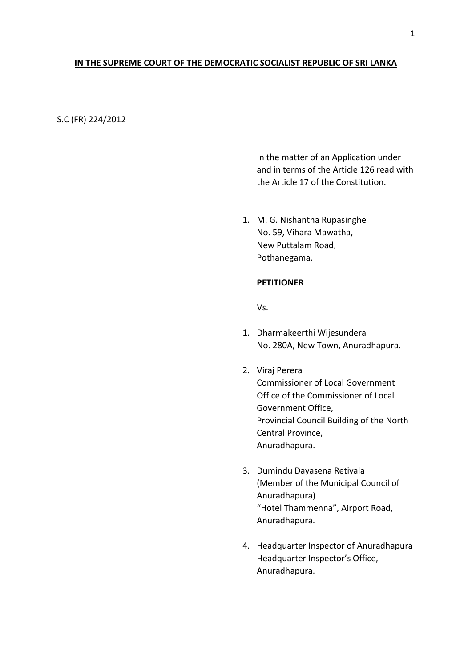# **IN THE SUPREME COURT OF THE DEMOCRATIC SOCIALIST REPUBLIC OF SRI LANKA**

S.C (FR) 224/2012

In the matter of an Application under and in terms of the Article 126 read with the Article 17 of the Constitution.

1. M. G. Nishantha Rupasinghe No. 59, Vihara Mawatha, New Puttalam Road, Pothanegama.

# **PETITIONER**

Vs.

- 1. Dharmakeerthi Wijesundera No. 280A, New Town, Anuradhapura.
- 2. Viraj Perera Commissioner of Local Government Office of the Commissioner of Local Government Office, Provincial Council Building of the North Central Province, Anuradhapura.
- 3. Dumindu Dayasena Retiyala (Member of the Municipal Council of Anuradhapura) "Hotel Thammenna", Airport Road, Anuradhapura.
- 4. Headquarter Inspector of Anuradhapura Headquarter Inspector's Office, Anuradhapura.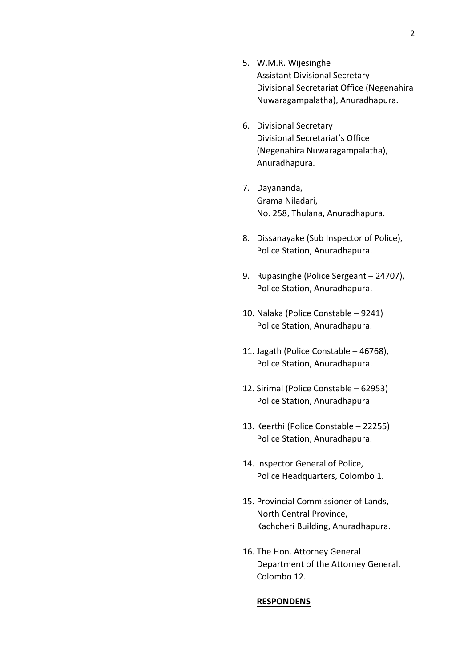- 5. W.M.R. Wijesinghe Assistant Divisional Secretary Divisional Secretariat Office (Negenahira Nuwaragampalatha), Anuradhapura.
- 6. Divisional Secretary Divisional Secretariat's Office (Negenahira Nuwaragampalatha), Anuradhapura.
- 7. Dayananda, Grama Niladari, No. 258, Thulana, Anuradhapura.
- 8. Dissanayake (Sub Inspector of Police), Police Station, Anuradhapura.
- 9. Rupasinghe (Police Sergeant 24707), Police Station, Anuradhapura.
- 10. Nalaka (Police Constable 9241) Police Station, Anuradhapura.
- 11. Jagath (Police Constable 46768), Police Station, Anuradhapura.
- 12. Sirimal (Police Constable 62953) Police Station, Anuradhapura
- 13. Keerthi (Police Constable 22255) Police Station, Anuradhapura.
- 14. Inspector General of Police, Police Headquarters, Colombo 1.
- 15. Provincial Commissioner of Lands, North Central Province, Kachcheri Building, Anuradhapura.
- 16. The Hon. Attorney General Department of the Attorney General. Colombo 12.

#### **RESPONDENS**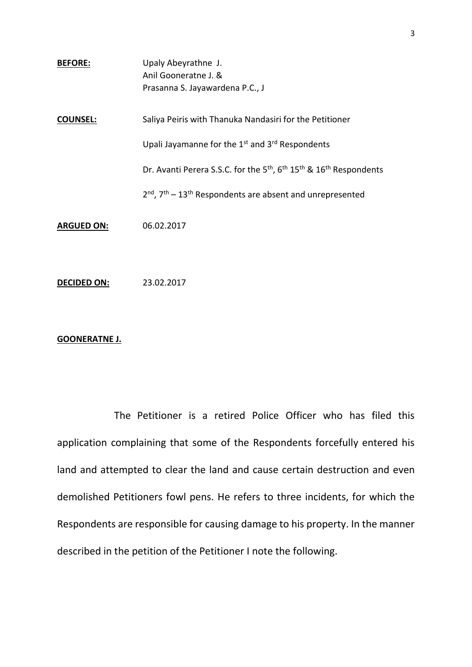| <b>BEFORE:</b>    | Upaly Abeyrathne J.<br>Anil Gooneratne J. &                                                                        |
|-------------------|--------------------------------------------------------------------------------------------------------------------|
|                   | Prasanna S. Jayawardena P.C., J                                                                                    |
| <b>COUNSEL:</b>   | Saliya Peiris with Thanuka Nandasiri for the Petitioner                                                            |
|                   | Upali Jayamanne for the 1 <sup>st</sup> and 3 <sup>rd</sup> Respondents                                            |
|                   | Dr. Avanti Perera S.S.C. for the 5 <sup>th</sup> , 6 <sup>th</sup> 15 <sup>th</sup> & 16 <sup>th</sup> Respondents |
|                   | 2 <sup>nd</sup> , 7 <sup>th</sup> – 13 <sup>th</sup> Respondents are absent and unrepresented                      |
| <b>ARGUED ON:</b> | 06.02.2017                                                                                                         |
|                   |                                                                                                                    |

**DECIDED ON:** 23.02.2017

# **GOONERATNE J.**

The Petitioner is a retired Police Officer who has filed this application complaining that some of the Respondents forcefully entered his land and attempted to clear the land and cause certain destruction and even demolished Petitioners fowl pens. He refers to three incidents, for which the Respondents are responsible for causing damage to his property. In the manner described in the petition of the Petitioner I note the following.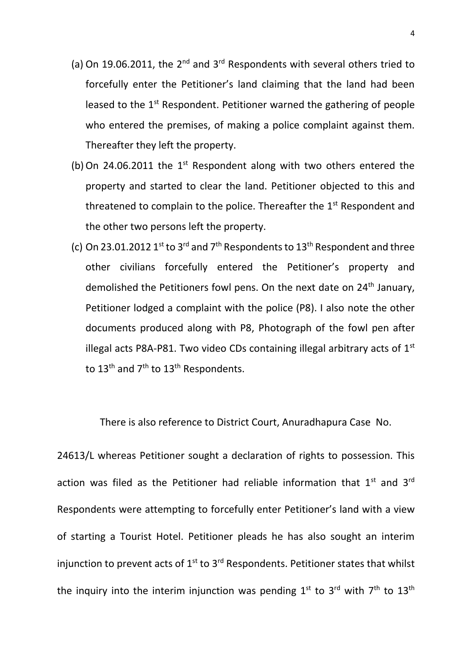- (a) On 19.06.2011, the  $2^{nd}$  and  $3^{rd}$  Respondents with several others tried to forcefully enter the Petitioner's land claiming that the land had been leased to the  $1<sup>st</sup>$  Respondent. Petitioner warned the gathering of people who entered the premises, of making a police complaint against them. Thereafter they left the property.
- (b) On 24.06.2011 the  $1<sup>st</sup>$  Respondent along with two others entered the property and started to clear the land. Petitioner objected to this and threatened to complain to the police. Thereafter the  $1<sup>st</sup>$  Respondent and the other two persons left the property.
- (c) On 23.01.2012 1st to 3<sup>rd</sup> and 7<sup>th</sup> Respondents to 13<sup>th</sup> Respondent and three other civilians forcefully entered the Petitioner's property and demolished the Petitioners fowl pens. On the next date on 24<sup>th</sup> January, Petitioner lodged a complaint with the police (P8). I also note the other documents produced along with P8, Photograph of the fowl pen after illegal acts P8A-P81. Two video CDs containing illegal arbitrary acts of  $1<sup>st</sup>$ to 13<sup>th</sup> and 7<sup>th</sup> to 13<sup>th</sup> Respondents.

There is also reference to District Court, Anuradhapura Case No.

24613/L whereas Petitioner sought a declaration of rights to possession. This action was filed as the Petitioner had reliable information that  $1<sup>st</sup>$  and  $3<sup>rd</sup>$ Respondents were attempting to forcefully enter Petitioner's land with a view of starting a Tourist Hotel. Petitioner pleads he has also sought an interim injunction to prevent acts of  $1^{st}$  to  $3^{rd}$  Respondents. Petitioner states that whilst the inquiry into the interim injunction was pending  $1^{\text{st}}$  to  $3^{\text{rd}}$  with  $7^{\text{th}}$  to  $13^{\text{th}}$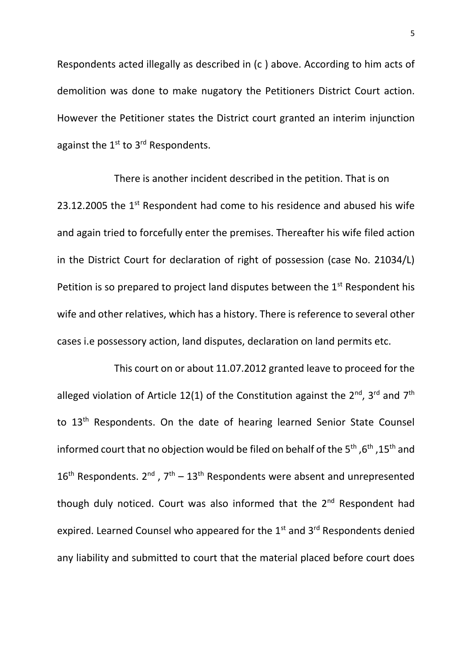Respondents acted illegally as described in (c ) above. According to him acts of demolition was done to make nugatory the Petitioners District Court action. However the Petitioner states the District court granted an interim injunction against the  $1<sup>st</sup>$  to  $3<sup>rd</sup>$  Respondents.

There is another incident described in the petition. That is on 23.12.2005 the  $1<sup>st</sup>$  Respondent had come to his residence and abused his wife and again tried to forcefully enter the premises. Thereafter his wife filed action in the District Court for declaration of right of possession (case No. 21034/L) Petition is so prepared to project land disputes between the  $1<sup>st</sup>$  Respondent his wife and other relatives, which has a history. There is reference to several other cases i.e possessory action, land disputes, declaration on land permits etc.

This court on or about 11.07.2012 granted leave to proceed for the alleged violation of Article 12(1) of the Constitution against the  $2^{nd}$ ,  $3^{rd}$  and  $7^{th}$ to 13<sup>th</sup> Respondents. On the date of hearing learned Senior State Counsel informed court that no objection would be filed on behalf of the 5<sup>th</sup> ,6<sup>th</sup> ,15<sup>th</sup> and  $16<sup>th</sup>$  Respondents.  $2<sup>nd</sup>$ ,  $7<sup>th</sup> - 13<sup>th</sup>$  Respondents were absent and unrepresented though duly noticed. Court was also informed that the 2<sup>nd</sup> Respondent had expired. Learned Counsel who appeared for the 1<sup>st</sup> and 3<sup>rd</sup> Respondents denied any liability and submitted to court that the material placed before court does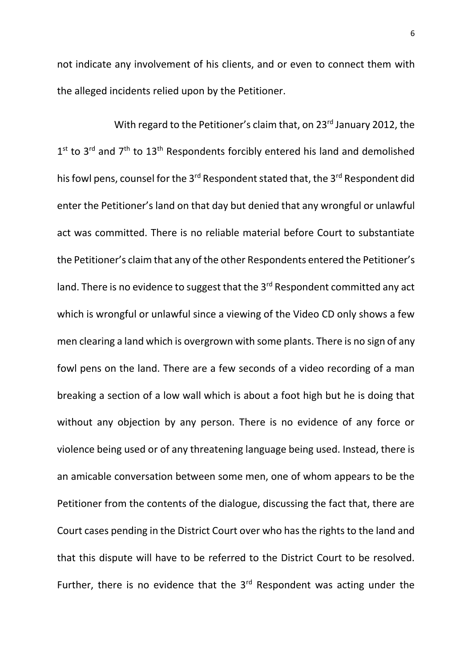not indicate any involvement of his clients, and or even to connect them with the alleged incidents relied upon by the Petitioner.

With regard to the Petitioner's claim that, on 23<sup>rd</sup> January 2012, the  $1<sup>st</sup>$  to  $3<sup>rd</sup>$  and  $7<sup>th</sup>$  to  $13<sup>th</sup>$  Respondents forcibly entered his land and demolished his fowl pens, counsel for the 3<sup>rd</sup> Respondent stated that, the 3<sup>rd</sup> Respondent did enter the Petitioner's land on that day but denied that any wrongful or unlawful act was committed. There is no reliable material before Court to substantiate the Petitioner's claim that any of the other Respondents entered the Petitioner's land. There is no evidence to suggest that the 3<sup>rd</sup> Respondent committed any act which is wrongful or unlawful since a viewing of the Video CD only shows a few men clearing a land which is overgrown with some plants. There is no sign of any fowl pens on the land. There are a few seconds of a video recording of a man breaking a section of a low wall which is about a foot high but he is doing that without any objection by any person. There is no evidence of any force or violence being used or of any threatening language being used. Instead, there is an amicable conversation between some men, one of whom appears to be the Petitioner from the contents of the dialogue, discussing the fact that, there are Court cases pending in the District Court over who has the rights to the land and that this dispute will have to be referred to the District Court to be resolved. Further, there is no evidence that the  $3<sup>rd</sup>$  Respondent was acting under the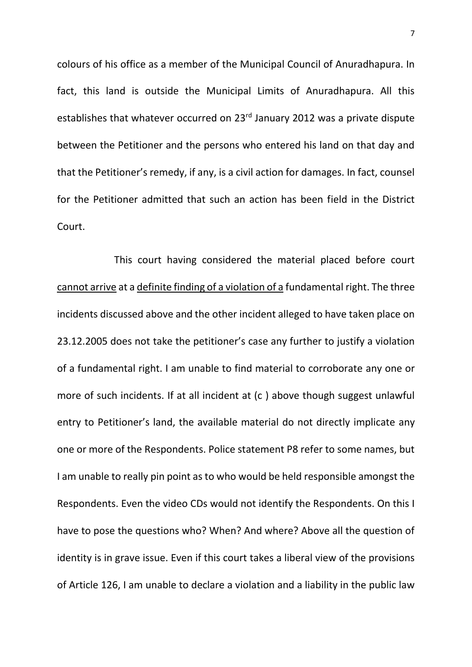colours of his office as a member of the Municipal Council of Anuradhapura. In fact, this land is outside the Municipal Limits of Anuradhapura. All this establishes that whatever occurred on 23<sup>rd</sup> January 2012 was a private dispute between the Petitioner and the persons who entered his land on that day and that the Petitioner's remedy, if any, is a civil action for damages. In fact, counsel for the Petitioner admitted that such an action has been field in the District Court.

This court having considered the material placed before court cannot arrive at a definite finding of a violation of a fundamental right. The three incidents discussed above and the other incident alleged to have taken place on 23.12.2005 does not take the petitioner's case any further to justify a violation of a fundamental right. I am unable to find material to corroborate any one or more of such incidents. If at all incident at (c ) above though suggest unlawful entry to Petitioner's land, the available material do not directly implicate any one or more of the Respondents. Police statement P8 refer to some names, but I am unable to really pin point as to who would be held responsible amongst the Respondents. Even the video CDs would not identify the Respondents. On this I have to pose the questions who? When? And where? Above all the question of identity is in grave issue. Even if this court takes a liberal view of the provisions of Article 126, I am unable to declare a violation and a liability in the public law